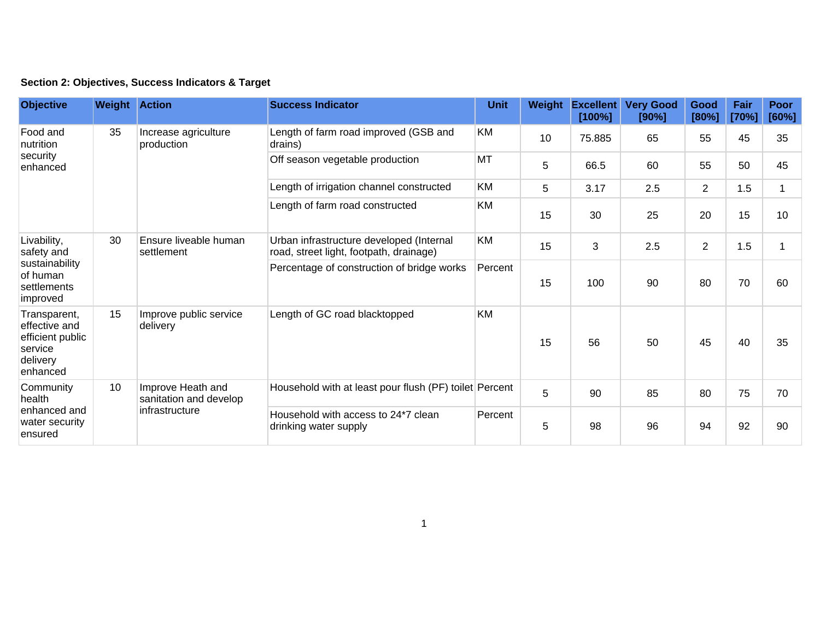|  | Section 2: Objectives, Success Indicators & Target |  |  |  |  |
|--|----------------------------------------------------|--|--|--|--|
|--|----------------------------------------------------|--|--|--|--|

| <b>Objective</b>                                                                     | <b>Weight Action</b> |                                                               | <b>Success Indicator</b>                                                            | <b>Unit</b> | Weight | <b>Excellent</b><br>[100%] | <b>Very Good</b><br>[90%] | Good<br>[80%]  | Fair<br>[70%] | Poor<br>[60%] |
|--------------------------------------------------------------------------------------|----------------------|---------------------------------------------------------------|-------------------------------------------------------------------------------------|-------------|--------|----------------------------|---------------------------|----------------|---------------|---------------|
| Food and<br>nutrition<br>security<br>enhanced                                        | 35                   | Increase agriculture<br>production                            | Length of farm road improved (GSB and<br>drains)                                    | KM          | 10     | 75.885                     | 65                        | 55             | 45            | 35            |
|                                                                                      |                      |                                                               | Off season vegetable production                                                     | MT          | 5      | 66.5                       | 60                        | 55             | 50            | 45            |
|                                                                                      |                      |                                                               | Length of irrigation channel constructed                                            | KM          | 5      | 3.17                       | 2.5                       | $\overline{2}$ | 1.5           |               |
|                                                                                      |                      |                                                               | Length of farm road constructed                                                     | KM          | 15     | 30                         | 25                        | 20             | 15            | 10            |
| Livability,<br>safety and<br>sustainability<br>of human<br>settlements<br>improved   | 30                   | Ensure liveable human<br>settlement                           | Urban infrastructure developed (Internal<br>road, street light, footpath, drainage) | KM          | 15     | 3                          | 2.5                       | $\overline{2}$ | 1.5           |               |
|                                                                                      |                      |                                                               | Percentage of construction of bridge works                                          | Percent     | 15     | 100                        | 90                        | 80             | 70            | 60            |
| Transparent,<br>effective and<br>efficient public<br>service<br>delivery<br>enhanced | 15                   | Improve public service<br>delivery                            | Length of GC road blacktopped                                                       | <b>KM</b>   | 15     | 56                         | 50                        | 45             | 40            | 35            |
| Community<br>health<br>enhanced and<br>water security<br>ensured                     | 10                   | Improve Heath and<br>sanitation and develop<br>infrastructure | Household with at least pour flush (PF) toilet Percent                              |             | 5      | 90                         | 85                        | 80             | 75            | 70            |
|                                                                                      |                      |                                                               | Household with access to 24*7 clean<br>drinking water supply                        | Percent     | 5      | 98                         | 96                        | 94             | 92            | 90            |